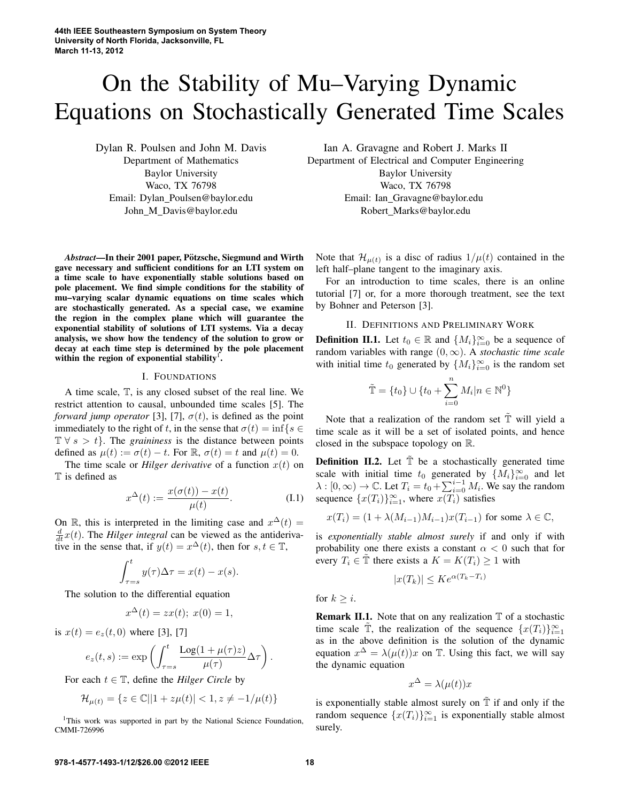# On the Stability of Mu–Varying Dynamic Equations on Stochastically Generated Time Scales

Dylan R. Poulsen and John M. Davis Department of Mathematics Baylor University Waco, TX 76798 Email: Dylan Poulsen@baylor.edu John M Davis@baylor.edu

*Abstract*—In their 2001 paper, Pötzsche, Siegmund and Wirth gave necessary and sufficient conditions for an LTI system on a time scale to have exponentially stable solutions based on pole placement. We find simple conditions for the stability of mu–varying scalar dynamic equations on time scales which are stochastically generated. As a special case, we examine the region in the complex plane which will guarantee the exponential stability of solutions of LTI systems. Via a decay analysis, we show how the tendency of the solution to grow or decay at each time step is determined by the pole placement within the region of exponential stability<sup>1</sup>.

## I. FOUNDATIONS

A time scale, T, is any closed subset of the real line. We restrict attention to causal, unbounded time scales [5]. The *forward jump operator* [3], [7],  $\sigma(t)$ , is defined as the point immediately to the right of t, in the sense that  $\sigma(t) = \inf\{s \in$  $\mathbb{T} \ \forall \ s > t$ . The *graininess* is the distance between points defined as  $\mu(t) := \sigma(t) - t$ . For  $\mathbb{R}, \sigma(t) = t$  and  $\mu(t) = 0$ .

The time scale or *Hilger derivative* of a function  $x(t)$  on T is defined as

$$
x^{\Delta}(t) := \frac{x(\sigma(t)) - x(t)}{\mu(t)}.
$$
 (I.1)

On R, this is interpreted in the limiting case and  $x^{\Delta}(t) =$  $\frac{d}{dt}x(t)$ . The *Hilger integral* can be viewed as the antiderivative in the sense that, if  $y(t) = x^{\Delta}(t)$ , then for  $s, t \in \mathbb{T}$ ,

$$
\int_{\tau=s}^{t} y(\tau) \Delta \tau = x(t) - x(s).
$$

The solution to the differential equation

$$
x^{\Delta}(t) = zx(t); \ x(0) = 1,
$$

is  $x(t) = e_z(t, 0)$  where [3], [7]

$$
e_z(t,s):=\exp\left(\int_{\tau=s}^t \frac{\text{Log}(1+\mu(\tau)z)}{\mu(\tau)}\Delta\tau\right).
$$

For each  $t \in \mathbb{T}$ , define the *Hilger Circle* by

$$
\mathcal{H}_{\mu(t)} = \{ z \in \mathbb{C} | |1 + z\mu(t)| < 1, z \neq -1/\mu(t) \}
$$

<sup>1</sup>This work was supported in part by the National Science Foundation, CMMI-726996

Ian A. Gravagne and Robert J. Marks II

Department of Electrical and Computer Engineering Baylor University Waco, TX 76798 Email: Ian Gravagne@baylor.edu Robert Marks@baylor.edu

Note that  $\mathcal{H}_{\mu(t)}$  is a disc of radius  $1/\mu(t)$  contained in the left half–plane tangent to the imaginary axis.

For an introduction to time scales, there is an online tutorial [7] or, for a more thorough treatment, see the text by Bohner and Peterson [3].

# II. DEFINITIONS AND PRELIMINARY WORK

**Definition II.1.** Let  $t_0 \in \mathbb{R}$  and  $\{M_i\}_{i=0}^{\infty}$  be a sequence of random variables with range  $(0, \infty)$ . A *stochastic time scale* with initial time  $t_0$  generated by  $\{M_i\}_{i=0}^{\infty}$  is the random set

$$
\tilde{\mathbb{T}} = \{t_0\} \cup \{t_0 + \sum_{i=0}^{n} M_i | n \in \mathbb{N}^0\}
$$

Note that a realization of the random set  $\mathbb T$  will yield a time scale as it will be a set of isolated points, and hence closed in the subspace topology on R.

**Definition II.2.** Let  $\tilde{T}$  be a stochastically generated time scale with initial time  $t_0$  generated by  $\{M_i\}_{i=0}^{\infty}$  and let  $\lambda : [0, \infty) \to \mathbb{C}$ . Let  $T_i = t_0 + \sum_{i=0}^{i-1} M_i$ . We say the random sequence  $\{x(T_i)\}_{i=1}^{\infty}$ , where  $x(T_i)$  satisfies

$$
x(T_i) = (1 + \lambda(M_{i-1})M_{i-1})x(T_{i-1})
$$
 for some  $\lambda \in \mathbb{C}$ ,

is *exponentially stable almost surely* if and only if with probability one there exists a constant  $\alpha < 0$  such that for every  $T_i \in \mathbb{T}$  there exists a  $K = K(T_i) \geq 1$  with

$$
|x(T_k)| \le K e^{\alpha (T_k - T_i)}
$$

for  $k \geq i$ .

**Remark II.1.** Note that on any realization  $\mathbb T$  of a stochastic time scale  $\tilde{T}$ , the realization of the sequence  $\{x(T_i)\}_{i=1}^{\infty}$ as in the above definition is the solution of the dynamic equation  $x^{\Delta} = \lambda(\mu(t))x$  on T. Using this fact, we will say the dynamic equation

$$
x^{\Delta} = \lambda(\mu(t))x
$$

is exponentially stable almost surely on  $\mathbb T$  if and only if the random sequence  $\{x(T_i)\}_{i=1}^{\infty}$  is exponentially stable almost surely.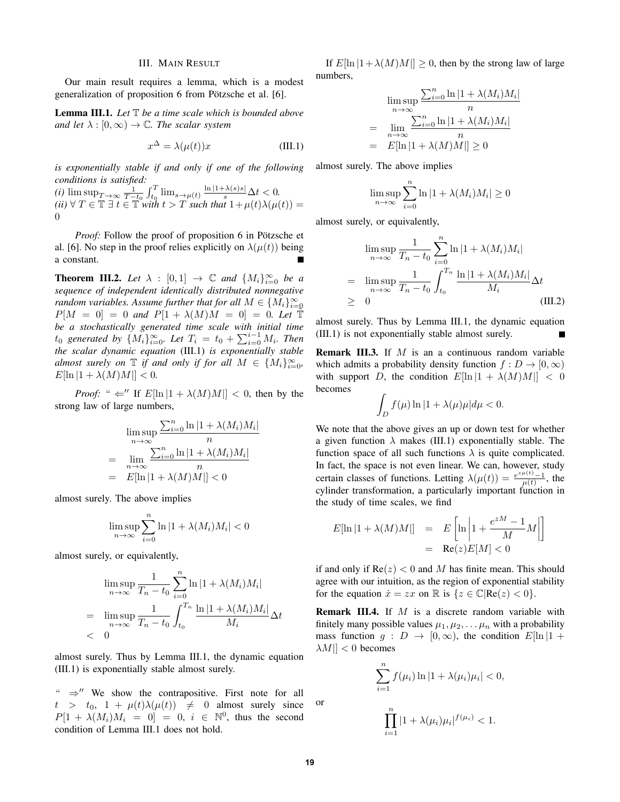#### III. MAIN RESULT

Our main result requires a lemma, which is a modest generalization of proposition 6 from Pötzsche et al. [6].

Lemma III.1. *Let* T *be a time scale which is bounded above and let*  $\lambda : [0, \infty) \to \mathbb{C}$ *. The scalar system* 

$$
x^{\Delta} = \lambda(\mu(t))x \tag{III.1}
$$

*is exponentially stable if and only if one of the following conditions is satisfied:*

*(i)*  $\limsup_{T \to \infty} \frac{1}{T-t_0} \int_{t_0}^{T} \lim_{s \to \mu(t)} \frac{\ln|1+\lambda(s)s|}{s} \Delta t < 0.$  $f(ii) \forall T \in \mathbb{T} \exists t \in \mathbb{T}$  *with*  $t > T$  *such that*  $1 + \mu(t)\lambda(\mu(t)) =$ 0

*Proof:* Follow the proof of proposition 6 in Pötzsche et al. [6]. No step in the proof relies explicitly on  $\lambda(\mu(t))$  being a constant.

**Theorem III.2.** Let  $\lambda$  :  $[0,1] \rightarrow \mathbb{C}$  and  $\{M_i\}_{i=0}^{\infty}$  be a *sequence of independent identically distributed nonnegative random variables. Assume further that for all*  $M \in \{M_i\}_{i=0}^{\infty}$  $P[M = 0] = 0$  and  $P[1 + \lambda(M)M = 0] = 0$ . Let  $\tilde{\mathbb{T}}$ *be a stochastically generated time scale with initial time*  $t_0$  generated by  $\{M_i\}_{i=0}^{\infty}$ . Let  $T_i = t_0 + \sum_{i=0}^{i-1} M_i$ . Then *the scalar dynamic equation* (III.1) *is exponentially stable almost surely on*  $\mathbb{T}$  *if and only if for all*  $M \in \{M_i\}_{i=0}^{\infty}$ ,  $E[\ln |1 + \lambda(M)M|] < 0.$ 

*Proof:* "  $\Leftarrow$ " If  $E[\ln |1 + \lambda(M)M|] < 0$ , then by the strong law of large numbers,

$$
\limsup_{n \to \infty} \frac{\sum_{i=0}^{n} \ln|1 + \lambda(M_i)M_i|}{n}
$$
\n
$$
= \lim_{n \to \infty} \frac{\sum_{i=0}^{n} \ln|1 + \lambda(M_i)M_i|}{n}
$$
\n
$$
= E[\ln|1 + \lambda(M)M|] < 0
$$

almost surely. The above implies

$$
\limsup_{n \to \infty} \sum_{i=0}^{n} \ln|1 + \lambda(M_i)M_i| < 0
$$

almost surely, or equivalently,

$$
\limsup_{n \to \infty} \frac{1}{T_n - t_0} \sum_{i=0}^n \ln|1 + \lambda(M_i)M_i|
$$
\n
$$
= \limsup_{n \to \infty} \frac{1}{T_n - t_0} \int_{t_0}^{T_n} \frac{\ln|1 + \lambda(M_i)M_i|}{M_i} \Delta t
$$
\n
$$
< 0
$$

almost surely. Thus by Lemma III.1, the dynamic equation (III.1) is exponentially stable almost surely.

"  $\Rightarrow$ " We show the contrapositive. First note for all  $t > t_0, 1 + \mu(t)\lambda(\mu(t)) \neq 0$  almost surely since  $P[1 + \lambda(M_i)M_i = 0] = 0, i \in \mathbb{N}^0$ , thus the second condition of Lemma III.1 does not hold.

If  $E[\ln |1+\lambda(M)M|] \geq 0$ , then by the strong law of large numbers,

$$
\limsup_{n \to \infty} \frac{\sum_{i=0}^{n} \ln|1 + \lambda(M_i)M_i|}{n}
$$
\n
$$
= \lim_{n \to \infty} \frac{\sum_{i=0}^{n} \ln|1 + \lambda(M_i)M_i|}{n}
$$
\n
$$
= E[\ln|1 + \lambda(M)M|] \ge 0
$$

almost surely. The above implies

$$
\limsup_{n \to \infty} \sum_{i=0}^{n} \ln|1 + \lambda(M_i)M_i| \ge 0
$$

almost surely, or equivalently,

$$
\limsup_{n \to \infty} \frac{1}{T_n - t_0} \sum_{i=0}^n \ln|1 + \lambda(M_i)M_i|
$$
\n
$$
= \limsup_{n \to \infty} \frac{1}{T_n - t_0} \int_{t_0}^{T_n} \frac{\ln|1 + \lambda(M_i)M_i|}{M_i} \Delta t
$$
\n
$$
\geq 0
$$
\n(III.2)

almost surely. Thus by Lemma III.1, the dynamic equation (III.1) is not exponentially stable almost surely.

**Remark III.3.** If  $M$  is an a continuous random variable which admits a probability density function  $f: D \to [0, \infty)$ with support D, the condition  $E[\ln(1 + \lambda(M)M)] < 0$ becomes

$$
\int_D f(\mu) \ln|1+\lambda(\mu)\mu| d\mu < 0.
$$

We note that the above gives an up or down test for whether a given function  $\lambda$  makes (III.1) exponentially stable. The function space of all such functions  $\lambda$  is quite complicated. In fact, the space is not even linear. We can, however, study certain classes of functions. Letting  $\lambda(\mu(t)) = \frac{e^{2\mu(t)} - 1}{\mu(t)}$ , the cylinder transformation, a particularly important function in the study of time scales, we find

$$
E[\ln|1 + \lambda(M)M|] = E\left[\ln\left|1 + \frac{e^{zM} - 1}{M}M\right|\right]
$$
  
= Re(z)E[M] < 0

if and only if  $Re(z) < 0$  and M has finite mean. This should agree with our intuition, as the region of exponential stability for the equation  $\dot{x} = zx$  on  $\mathbb R$  is  $\{z \in \mathbb C | \text{Re}(z) < 0\}.$ 

Remark III.4. If M is a discrete random variable with finitely many possible values  $\mu_1, \mu_2, \ldots, \mu_n$  with a probability mass function  $q : D \to [0, \infty)$ , the condition  $E[\ln |1 + \dots]$  $|\lambda M| < 0$  becomes

$$
\sum_{i=1}^{n} f(\mu_i) \ln |1 + \lambda(\mu_i)\mu_i| < 0,
$$
\n
$$
\prod_{i=1}^{n} |1 + \lambda(\mu_i)\mu_i|^{f(\mu_i)} < 1.
$$

or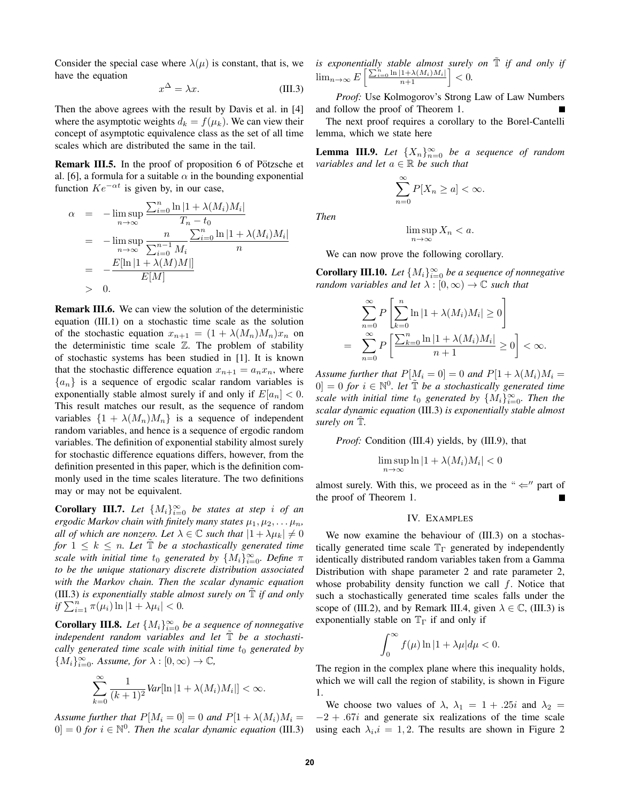Consider the special case where  $\lambda(\mu)$  is constant, that is, we have the equation

$$
x^{\Delta} = \lambda x. \tag{III.3}
$$

Then the above agrees with the result by Davis et al. in [4] where the asymptotic weights  $d_k = f(\mu_k)$ . We can view their concept of asymptotic equivalence class as the set of all time scales which are distributed the same in the tail.

Remark III.5. In the proof of proposition 6 of Pötzsche et al. [6], a formula for a suitable  $\alpha$  in the bounding exponential function  $Ke^{-\alpha t}$  is given by, in our case,

$$
\alpha = -\limsup_{n \to \infty} \frac{\sum_{i=0}^{n} \ln|1 + \lambda(M_i)M_i|}{T_n - t_0}
$$
  
\n
$$
= -\limsup_{n \to \infty} \frac{n}{\sum_{i=0}^{n-1} M_i} \frac{\sum_{i=0}^{n} \ln|1 + \lambda(M_i)M_i|}{n}
$$
  
\n
$$
= -\frac{E[\ln|1 + \lambda(M)M|]}{E[M]}
$$
  
\n
$$
> 0.
$$

Remark III.6. We can view the solution of the deterministic equation (III.1) on a stochastic time scale as the solution of the stochastic equation  $x_{n+1} = (1 + \lambda(M_n)M_n)x_n$  on the deterministic time scale  $\mathbb{Z}$ . The problem of stability of stochastic systems has been studied in [1]. It is known that the stochastic difference equation  $x_{n+1} = a_n x_n$ , where  ${a_n}$  is a sequence of ergodic scalar random variables is exponentially stable almost surely if and only if  $E[a_n] < 0$ . This result matches our result, as the sequence of random variables  $\{1 + \lambda(M_n)M_n\}$  is a sequence of independent random variables, and hence is a sequence of ergodic random variables. The definition of exponential stability almost surely for stochastic difference equations differs, however, from the definition presented in this paper, which is the definition commonly used in the time scales literature. The two definitions may or may not be equivalent.

**Corollary III.7.** Let  $\{M_i\}_{i=0}^{\infty}$  be states at step i of an *ergodic Markov chain with finitely many states*  $\mu_1, \mu_2, \ldots, \mu_n$ *, all of which are nonzero. Let*  $\lambda \in \mathbb{C}$  *such that*  $|1 + \lambda \mu_k| \neq 0$ *for*  $1 \leq k \leq n$ *. Let*  $\mathbb{T}$  *be a stochastically generated time scale with initial time t*<sub>0</sub> *generated by*  $\{M_i\}_{i=0}^{\infty}$ *. Define*  $\pi$ *to be the unique stationary discrete distribution associated with the Markov chain. Then the scalar dynamic equation* (III.3) *is exponentially stable almost surely on*  $\mathbb T$  *if and only if*  $\sum_{i=1}^{n} \pi(\mu_i) \ln |1 + \lambda \mu_i| < 0$ .

**Corollary III.8.** Let  $\{M_i\}_{i=0}^{\infty}$  be a sequence of nonnegative independent random variables and let  $\mathbb T$  be a stochasti*cally generated time scale with initial time*  $t_0$  *generated by*  ${M_i}_{i=0}^{\infty}$ . Assume, for  $\lambda : [0, \infty) \to \mathbb{C}$ ,

$$
\sum_{k=0}^{\infty} \frac{1}{(k+1)^2} Var[\ln|1+\lambda(M_i)M_i|] < \infty.
$$

*Assume further that*  $P[M_i = 0] = 0$  *and*  $P[1 + \lambda(M_i)M_i =$  $[0] = 0$  for  $i \in \mathbb{N}^0$ . Then the scalar dynamic equation (III.3) *is exponentially stable almost surely on*  $\mathbb T$  *if and only if*  $\lim_{n\to\infty} E\left[\frac{\sum_{i=0}^{n} \ln |1+\lambda(M_i)M_i|}{n+1}\right]$ < 0*.*

*Proof:* Use Kolmogorov's Strong Law of Law Numbers and follow the proof of Theorem 1.

The next proof requires a corollary to the Borel-Cantelli lemma, which we state here

**Lemma III.9.** Let  $\{X_n\}_{n=0}^{\infty}$  be a sequence of random *variables and let*  $a \in \mathbb{R}$  *be such that* 

$$
\sum_{n=0}^{\infty} P[X_n \ge a] < \infty.
$$

*Then*

$$
\limsup_{n \to \infty} X_n < a.
$$

We can now prove the following corollary.

**Corollary III.10.** Let  $\{M_i\}_{i=0}^{\infty}$  be a sequence of nonnegative *random variables and let*  $\lambda : [0, \infty) \to \mathbb{C}$  *such that* 

$$
\sum_{n=0}^{\infty} P\left[\sum_{k=0}^{n} \ln|1 + \lambda(M_i)M_i| \ge 0\right]
$$
  
= 
$$
\sum_{n=0}^{\infty} P\left[\frac{\sum_{k=0}^{n} \ln|1 + \lambda(M_i)M_i|}{n+1} \ge 0\right] < \infty.
$$

*Assume further that*  $P[M_i = 0] = 0$  *and*  $P[1 + \lambda(M_i)M_i =$  $[0] = 0$  for  $i \in \mathbb{N}^0$ . let  $\mathbb{T}$  be a stochastically generated time *scale with initial time*  $t_0$  *generated by*  $\{M_i\}_{i=0}^{\infty}$ *. Then the scalar dynamic equation* (III.3) *is exponentially stable almost surely on*  $\mathbb{T}$ *.* 

*Proof:* Condition (III.4) yields, by (III.9), that

$$
\limsup_{n \to \infty} \ln|1 + \lambda(M_i)M_i| < 0
$$

almost surely. With this, we proceed as in the " $\Leftarrow$ " part of the proof of Theorem 1.

# IV. EXAMPLES

We now examine the behaviour of (III.3) on a stochastically generated time scale  $\mathbb{T}_{\Gamma}$  generated by independently identically distributed random variables taken from a Gamma Distribution with shape parameter 2 and rate parameter 2, whose probability density function we call  $f$ . Notice that such a stochastically generated time scales falls under the scope of (III.2), and by Remark III.4, given  $\lambda \in \mathbb{C}$ , (III.3) is exponentially stable on  $\mathbb{T}_{\Gamma}$  if and only if

$$
\int_0^\infty f(\mu) \ln|1 + \lambda \mu| d\mu < 0.
$$

 $\cdot$ 

The region in the complex plane where this inequality holds, which we will call the region of stability, is shown in Figure 1.

We choose two values of  $\lambda$ ,  $\lambda_1 = 1 + .25i$  and  $\lambda_2 =$  $-2 + .67i$  and generate six realizations of the time scale using each  $\lambda_i$ ,  $i = 1, 2$ . The results are shown in Figure 2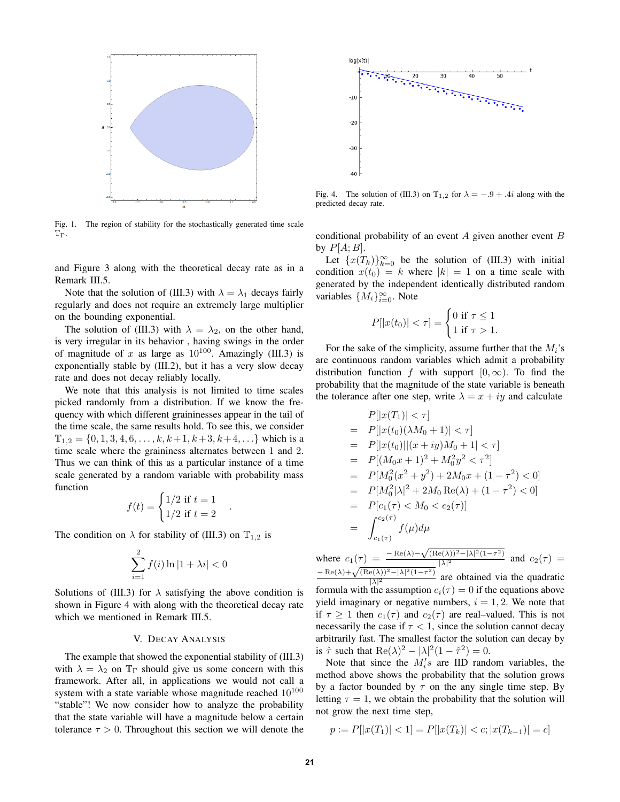

Fig. 1. The region of stability for the stochastically generated time scale  $T_{\Gamma}$ .

and Figure 3 along with the theoretical decay rate as in a Remark III.5.

Note that the solution of (III.3) with  $\lambda = \lambda_1$  decays fairly regularly and does not require an extremely large multiplier on the bounding exponential.

The solution of (III.3) with  $\lambda = \lambda_2$ , on the other hand, is very irregular in its behavior , having swings in the order of magnitude of x as large as  $10^{100}$ . Amazingly (III.3) is exponentially stable by (III.2), but it has a very slow decay rate and does not decay reliably locally.

We note that this analysis is not limited to time scales picked randomly from a distribution. If we know the frequency with which different graininesses appear in the tail of the time scale, the same results hold. To see this, we consider  $\mathbb{T}_{1,2} = \{0, 1, 3, 4, 6, \ldots, k, k+1, k+3, k+4, \ldots\}$  which is a time scale where the graininess alternates between 1 and 2. Thus we can think of this as a particular instance of a time scale generated by a random variable with probability mass function

$$
f(t) = \begin{cases} 1/2 \text{ if } t = 1\\ 1/2 \text{ if } t = 2 \end{cases}
$$

.

The condition on  $\lambda$  for stability of (III.3) on  $\mathbb{T}_{1,2}$  is

$$
\sum_{i=1}^{2} f(i) \ln|1 + \lambda i| < 0
$$

Solutions of (III.3) for  $\lambda$  satisfying the above condition is shown in Figure 4 with along with the theoretical decay rate which we mentioned in Remark III.5.

### V. DECAY ANALYSIS

The example that showed the exponential stability of (III.3) with  $\lambda = \lambda_2$  on  $\mathbb{T}_{\Gamma}$  should give us some concern with this framework. After all, in applications we would not call a system with a state variable whose magnitude reached  $10^{100}$ "stable"! We now consider how to analyze the probability that the state variable will have a magnitude below a certain tolerance  $\tau > 0$ . Throughout this section we will denote the



Fig. 4. The solution of (III.3) on  $\mathbb{T}_{1,2}$  for  $\lambda = -.9 + .4i$  along with the predicted decay rate.

conditional probability of an event  $A$  given another event  $B$ by  $P[A;B]$ .

Let  $\{x(T_k)\}_{k=0}^{\infty}$  be the solution of (III.3) with initial condition  $x(t_0) = k$  where  $|k| = 1$  on a time scale with generated by the independent identically distributed random variables  $\{M_i\}_{i=0}^{\infty}$ . Note

$$
P[|x(t_0)| < \tau] = \begin{cases} 0 \text{ if } \tau \le 1\\ 1 \text{ if } \tau > 1. \end{cases}
$$

For the sake of the simplicity, assume further that the  $M_i$ 's are continuous random variables which admit a probability distribution function f with support  $[0, \infty)$ . To find the probability that the magnitude of the state variable is beneath the tolerance after one step, write  $\lambda = x + iy$  and calculate

$$
P[|x(T_1)| < \tau]
$$
  
=  $P[|x(t_0)(\lambda M_0 + 1)| < \tau]$   
=  $P[|x(t_0)||(x + iy)M_0 + 1| < \tau]$   
=  $P[(M_0x + 1)^2 + M_0^2y^2 < \tau^2]$   
=  $P[M_0^2(x^2 + y^2) + 2M_0x + (1 - \tau^2) < 0]$   
=  $P[M_0^2|\lambda|^2 + 2M_0 \text{Re}(\lambda) + (1 - \tau^2) < 0]$   
=  $P[c_1(\tau) < M_0 < c_2(\tau)]$   
=  $\int_{c_1(\tau)}^{c_2(\tau)} f(\mu) d\mu$ 

where  $c_1(\tau) =$  $\sqrt{(\text{Re}(\lambda))^2 - |\lambda|^2(1-\tau^2)}$  $\frac{\log(\lambda)}{|\lambda|^2}$  and  $c_2(\tau)$  =  $-\text{Re}(\lambda)+\sqrt{(\text{Re}(\lambda))^2-|\lambda|^2(1-\tau^2)}$ 

 $\frac{\ln(\lambda)}{|\lambda|^2}$  are obtained via the quadratic formula with the assumption  $c_i(\tau) = 0$  if the equations above yield imaginary or negative numbers,  $i = 1, 2$ . We note that if  $\tau \geq 1$  then  $c_1(\tau)$  and  $c_2(\tau)$  are real–valued. This is not necessarily the case if  $\tau < 1$ , since the solution cannot decay arbitrarily fast. The smallest factor the solution can decay by is  $\hat{\tau}$  such that  $\text{Re}(\lambda)^2 - |\lambda|^2 (1 - \hat{\tau}^2) = 0$ .

Note that since the  $M_i$ 's are IID random variables, the method above shows the probability that the solution grows by a factor bounded by  $\tau$  on the any single time step. By letting  $\tau = 1$ , we obtain the probability that the solution will not grow the next time step,

$$
p := P[|x(T_1)| < 1] = P[|x(T_k)| < c; |x(T_{k-1})| = c]
$$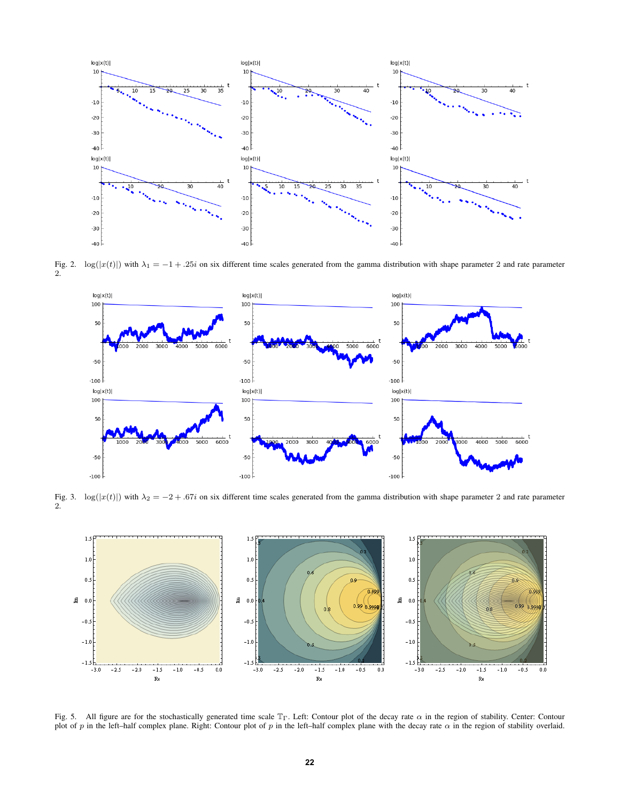

Fig. 2.  $\log(|x(t)|)$  with  $\lambda_1 = -1 + .25i$  on six different time scales generated from the gamma distribution with shape parameter 2 and rate parameter 2.



Fig. 3. log( $|x(t)|$ ) with  $\lambda_2 = -2 + .67i$  on six different time scales generated from the gamma distribution with shape parameter 2 and rate parameter 2.



Fig. 5. All figure are for the stochastically generated time scale  $\mathbb{T}_{\Gamma}$ . Left: Contour plot of the decay rate  $\alpha$  in the region of stability. Center: Contour plot of p in the left–half complex plane. Right: Contour plot of p in the left–half complex plane with the decay rate  $\alpha$  in the region of stability overlaid.